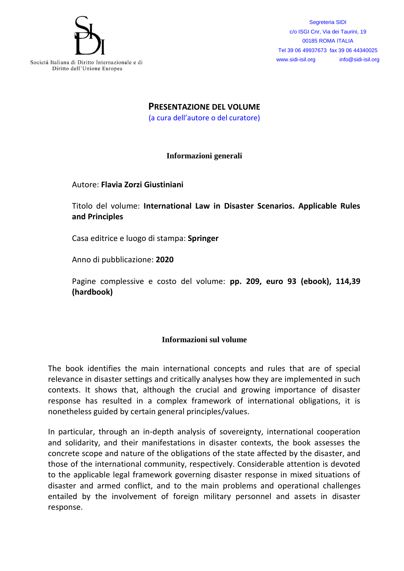

Segreteria SIDI c/o ISGI Cnr, Via dei Taurini, 19 00185 ROMA ITALIA Tel 39 06 49937673 fax 39 06 44340025 www.sidi-isil.org info@sidi-isil.org

**PRESENTAZIONE DEL VOLUME**

(a cura dell'autore o del curatore)

**Informazioni generali**

## Autore: **Flavia Zorzi Giustiniani**

Titolo del volume: **International Law in Disaster Scenarios. Applicable Rules and Principles**

Casa editrice e luogo di stampa: **Springer**

Anno di pubblicazione: **2020**

Pagine complessive e costo del volume: **pp. 209, euro 93 (ebook), 114,39 (hardbook)**

## **Informazioni sul volume**

The book identifies the main international concepts and rules that are of special relevance in disaster settings and critically analyses how they are implemented in such contexts. It shows that, although the crucial and growing importance of disaster response has resulted in a complex framework of international obligations, it is nonetheless guided by certain general principles/values.

In particular, through an in-depth analysis of sovereignty, international cooperation and solidarity, and their manifestations in disaster contexts, the book assesses the concrete scope and nature of the obligations of the state affected by the disaster, and those of the international community, respectively. Considerable attention is devoted to the applicable legal framework governing disaster response in mixed situations of disaster and armed conflict, and to the main problems and operational challenges entailed by the involvement of foreign military personnel and assets in disaster response.